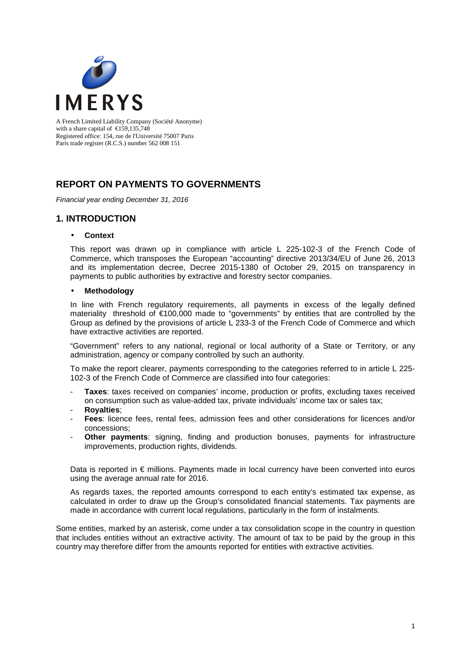

A French Limited Liability Company (Société Anonyme) with a share capital of  $\epsilon$ 159,135,748 Registered office: 154, rue de l'Université 75007 Paris Paris trade register (R.C.S.) number 562 008 151

## **REPORT ON PAYMENTS TO GOVERNMENTS**

Financial year ending December 31, 2016

### **1. INTRODUCTION**

#### • **Context**

This report was drawn up in compliance with article L 225-102-3 of the French Code of Commerce, which transposes the European "accounting" directive 2013/34/EU of June 26, 2013 and its implementation decree, Decree 2015-1380 of October 29, 2015 on transparency in payments to public authorities by extractive and forestry sector companies.

#### • **Methodology**

In line with French regulatory requirements, all payments in excess of the legally defined materiality threshold of €100,000 made to "governments" by entities that are controlled by the Group as defined by the provisions of article L 233-3 of the French Code of Commerce and which have extractive activities are reported.

"Government" refers to any national, regional or local authority of a State or Territory, or any administration, agency or company controlled by such an authority.

To make the report clearer, payments corresponding to the categories referred to in article L 225- 102-3 of the French Code of Commerce are classified into four categories:

- **Taxes**: taxes received on companies' income, production or profits, excluding taxes received on consumption such as value-added tax, private individuals' income tax or sales tax;
- **Royalties**;
- Fees: licence fees, rental fees, admission fees and other considerations for licences and/or concessions;
- **Other payments**: signing, finding and production bonuses, payments for infrastructure improvements, production rights, dividends.

Data is reported in  $\epsilon$  millions. Payments made in local currency have been converted into euros using the average annual rate for 2016.

As regards taxes, the reported amounts correspond to each entity's estimated tax expense, as calculated in order to draw up the Group's consolidated financial statements. Tax payments are made in accordance with current local regulations, particularly in the form of instalments.

Some entities, marked by an asterisk, come under a tax consolidation scope in the country in question that includes entities without an extractive activity. The amount of tax to be paid by the group in this country may therefore differ from the amounts reported for entities with extractive activities.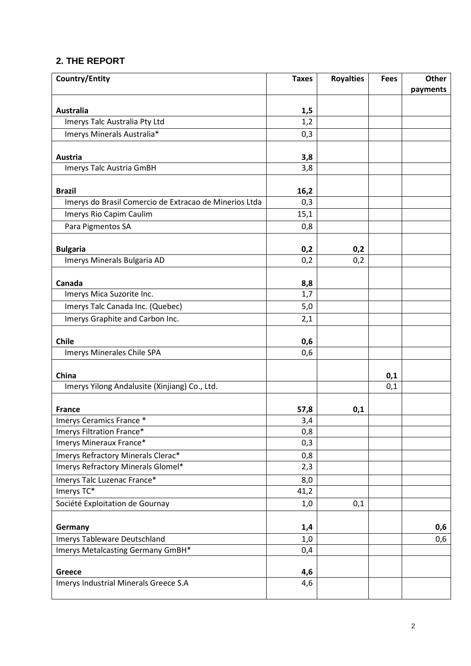# **2. THE REPORT**

| <b>Country/Entity</b>                                  | <b>Taxes</b> | <b>Royalties</b> | <b>Fees</b> | <b>Other</b> |
|--------------------------------------------------------|--------------|------------------|-------------|--------------|
|                                                        |              |                  |             | payments     |
|                                                        |              |                  |             |              |
| Australia                                              | 1,5          |                  |             |              |
| Imerys Talc Australia Pty Ltd                          | 1,2          |                  |             |              |
| Imerys Minerals Australia*                             | 0,3          |                  |             |              |
| Austria                                                | 3,8          |                  |             |              |
| Imerys Talc Austria GmBH                               | 3,8          |                  |             |              |
| <b>Brazil</b>                                          | 16,2         |                  |             |              |
| Imerys do Brasil Comercio de Extracao de Minerios Ltda | 0,3          |                  |             |              |
| Imerys Rio Capim Caulim                                | 15,1         |                  |             |              |
| Para Pigmentos SA                                      | 0,8          |                  |             |              |
|                                                        |              |                  |             |              |
| <b>Bulgaria</b>                                        | 0,2          | 0,2              |             |              |
| Imerys Minerals Bulgaria AD                            | 0,2          | 0,2              |             |              |
| Canada                                                 | 8,8          |                  |             |              |
| Imerys Mica Suzorite Inc.                              | 1,7          |                  |             |              |
| Imerys Talc Canada Inc. (Quebec)                       | 5,0          |                  |             |              |
| Imerys Graphite and Carbon Inc.                        | 2,1          |                  |             |              |
|                                                        |              |                  |             |              |
| <b>Chile</b>                                           | 0,6          |                  |             |              |
| Imerys Minerales Chile SPA                             | 0,6          |                  |             |              |
| China                                                  |              |                  | 0,1         |              |
| Imerys Yilong Andalusite (Xinjiang) Co., Ltd.          |              |                  | 0,1         |              |
|                                                        |              |                  |             |              |
| <b>France</b>                                          | 57,8         | 0,1              |             |              |
| Imerys Ceramics France *                               | 3,4          |                  |             |              |
| Imerys Filtration France*                              | 0,8          |                  |             |              |
| Imerys Mineraux France*                                | 0,3          |                  |             |              |
| Imerys Refractory Minerals Clerac*                     | 0,8          |                  |             |              |
| Imerys Refractory Minerals Glomel*                     | 2,3          |                  |             |              |
| Imerys Talc Luzenac France*                            | 8,0          |                  |             |              |
| Imerys TC*                                             | 41,2         |                  |             |              |
| Société Exploitation de Gournay                        | 1,0          | 0,1              |             |              |
| Germany                                                | 1,4          |                  |             | 0,6          |
| Imerys Tableware Deutschland                           | 1,0          |                  |             | 0,6          |
| Imerys Metalcasting Germany GmBH*                      | 0,4          |                  |             |              |
|                                                        |              |                  |             |              |
| Greece                                                 | 4,6          |                  |             |              |
| Imerys Industrial Minerals Greece S.A                  | 4,6          |                  |             |              |
|                                                        |              |                  |             |              |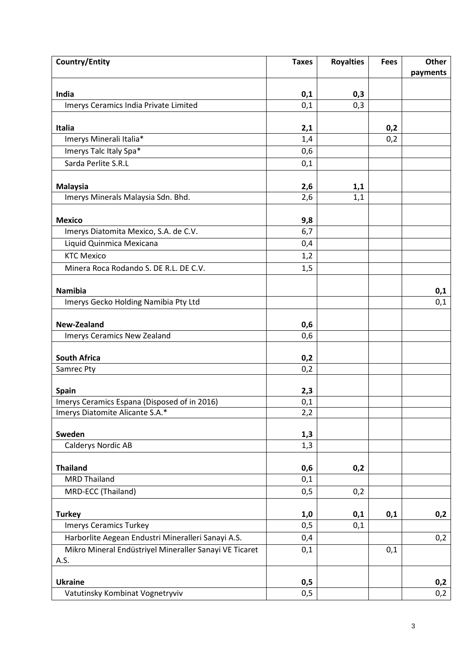| <b>Country/Entity</b>                                  | <b>Taxes</b> | <b>Royalties</b> | <b>Fees</b> | <b>Other</b><br>payments |
|--------------------------------------------------------|--------------|------------------|-------------|--------------------------|
|                                                        |              |                  |             |                          |
| India<br>Imerys Ceramics India Private Limited         | 0,1<br>0,1   | 0,3<br>0,3       |             |                          |
|                                                        |              |                  |             |                          |
| <b>Italia</b>                                          | 2,1          |                  | 0,2         |                          |
| Imerys Minerali Italia*                                | 1,4          |                  | 0,2         |                          |
| Imerys Talc Italy Spa*                                 | 0,6          |                  |             |                          |
| Sarda Perlite S.R.L                                    | 0,1          |                  |             |                          |
| <b>Malaysia</b>                                        | 2,6          | 1,1              |             |                          |
| Imerys Minerals Malaysia Sdn. Bhd.                     | 2,6          | 1,1              |             |                          |
|                                                        |              |                  |             |                          |
| <b>Mexico</b>                                          | 9,8          |                  |             |                          |
| Imerys Diatomita Mexico, S.A. de C.V.                  | 6,7          |                  |             |                          |
| Liquid Quinmica Mexicana                               | 0,4          |                  |             |                          |
| <b>KTC Mexico</b>                                      | 1,2          |                  |             |                          |
| Minera Roca Rodando S. DE R.L. DE C.V.                 | 1,5          |                  |             |                          |
|                                                        |              |                  |             |                          |
| <b>Namibia</b>                                         |              |                  |             | 0,1                      |
| Imerys Gecko Holding Namibia Pty Ltd                   |              |                  |             | 0,1                      |
| New-Zealand                                            | 0,6          |                  |             |                          |
| Imerys Ceramics New Zealand                            | 0,6          |                  |             |                          |
|                                                        |              |                  |             |                          |
| <b>South Africa</b>                                    | 0,2          |                  |             |                          |
| Samrec Pty                                             | 0,2          |                  |             |                          |
| Spain                                                  |              |                  |             |                          |
| Imerys Ceramics Espana (Disposed of in 2016)           | 2,3<br>0,1   |                  |             |                          |
| Imerys Diatomite Alicante S.A.*                        | 2,2          |                  |             |                          |
|                                                        |              |                  |             |                          |
| Sweden                                                 | 1,3          |                  |             |                          |
| Calderys Nordic AB                                     | 1,3          |                  |             |                          |
|                                                        |              |                  |             |                          |
| <b>Thailand</b><br><b>MRD Thailand</b>                 | 0,6<br>0,1   | 0,2              |             |                          |
| MRD-ECC (Thailand)                                     | 0,5          | 0,2              |             |                          |
|                                                        |              |                  |             |                          |
| <b>Turkey</b>                                          | 1,0          | 0,1              | 0,1         | 0,2                      |
| <b>Imerys Ceramics Turkey</b>                          | 0,5          | 0,1              |             |                          |
| Harborlite Aegean Endustri Mineralleri Sanayi A.S.     | 0,4          |                  |             | 0,2                      |
| Mikro Mineral Endüstriyel Mineraller Sanayi VE Ticaret | 0,1          |                  | 0,1         |                          |
| A.S.                                                   |              |                  |             |                          |
| <b>Ukraine</b>                                         | 0,5          |                  |             | 0,2                      |
| Vatutinsky Kombinat Vognetryviv                        | 0,5          |                  |             | 0,2                      |